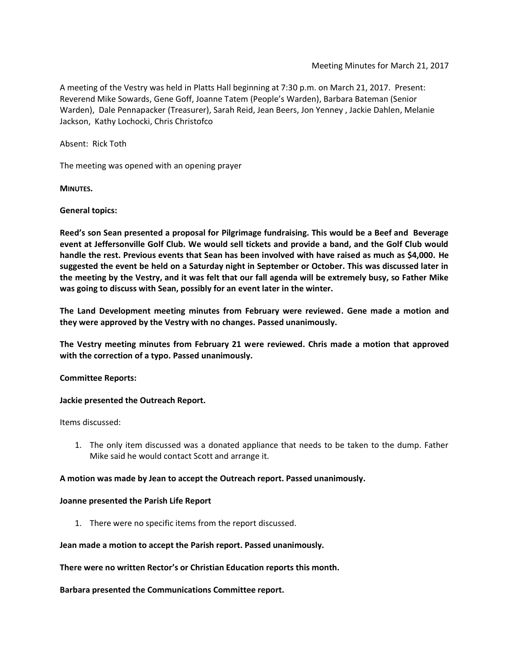A meeting of the Vestry was held in Platts Hall beginning at 7:30 p.m. on March 21, 2017. Present: Reverend Mike Sowards, Gene Goff, Joanne Tatem (People's Warden), Barbara Bateman (Senior Warden), Dale Pennapacker (Treasurer), Sarah Reid, Jean Beers, Jon Yenney , Jackie Dahlen, Melanie Jackson, Kathy Lochocki, Chris Christofco

Absent: Rick Toth

The meeting was opened with an opening prayer

**MINUTES.**

### **General topics:**

**Reed's son Sean presented a proposal for Pilgrimage fundraising. This would be a Beef and Beverage event at Jeffersonville Golf Club. We would sell tickets and provide a band, and the Golf Club would handle the rest. Previous events that Sean has been involved with have raised as much as \$4,000. He suggested the event be held on a Saturday night in September or October. This was discussed later in the meeting by the Vestry, and it was felt that our fall agenda will be extremely busy, so Father Mike was going to discuss with Sean, possibly for an event later in the winter.**

**The Land Development meeting minutes from February were reviewed. Gene made a motion and they were approved by the Vestry with no changes. Passed unanimously.**

**The Vestry meeting minutes from February 21 were reviewed. Chris made a motion that approved with the correction of a typo. Passed unanimously.**

#### **Committee Reports:**

#### **Jackie presented the Outreach Report.**

Items discussed:

1. The only item discussed was a donated appliance that needs to be taken to the dump. Father Mike said he would contact Scott and arrange it.

#### **A motion was made by Jean to accept the Outreach report. Passed unanimously.**

#### **Joanne presented the Parish Life Report**

1. There were no specific items from the report discussed.

**Jean made a motion to accept the Parish report. Passed unanimously.**

**There were no written Rector's or Christian Education reports this month.**

**Barbara presented the Communications Committee report.**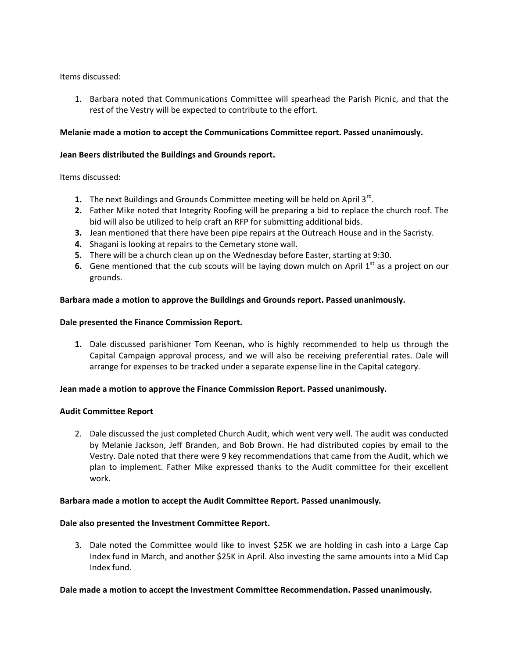## Items discussed:

1. Barbara noted that Communications Committee will spearhead the Parish Picnic, and that the rest of the Vestry will be expected to contribute to the effort.

# **Melanie made a motion to accept the Communications Committee report. Passed unanimously.**

## **Jean Beers distributed the Buildings and Grounds report.**

Items discussed:

- 1. The next Buildings and Grounds Committee meeting will be held on April 3<sup>rd</sup>.
- **2.** Father Mike noted that Integrity Roofing will be preparing a bid to replace the church roof. The bid will also be utilized to help craft an RFP for submitting additional bids.
- **3.** Jean mentioned that there have been pipe repairs at the Outreach House and in the Sacristy.
- **4.** Shagani is looking at repairs to the Cemetary stone wall.
- **5.** There will be a church clean up on the Wednesday before Easter, starting at 9:30.
- **6.** Gene mentioned that the cub scouts will be laying down mulch on April  $1<sup>st</sup>$  as a project on our grounds.

# **Barbara made a motion to approve the Buildings and Grounds report. Passed unanimously.**

# **Dale presented the Finance Commission Report.**

**1.** Dale discussed parishioner Tom Keenan, who is highly recommended to help us through the Capital Campaign approval process, and we will also be receiving preferential rates. Dale will arrange for expenses to be tracked under a separate expense line in the Capital category.

## **Jean made a motion to approve the Finance Commission Report. Passed unanimously.**

## **Audit Committee Report**

2. Dale discussed the just completed Church Audit, which went very well. The audit was conducted by Melanie Jackson, Jeff Branden, and Bob Brown. He had distributed copies by email to the Vestry. Dale noted that there were 9 key recommendations that came from the Audit, which we plan to implement. Father Mike expressed thanks to the Audit committee for their excellent work.

## **Barbara made a motion to accept the Audit Committee Report. Passed unanimously.**

## **Dale also presented the Investment Committee Report.**

3. Dale noted the Committee would like to invest \$25K we are holding in cash into a Large Cap Index fund in March, and another \$25K in April. Also investing the same amounts into a Mid Cap Index fund.

## **Dale made a motion to accept the Investment Committee Recommendation. Passed unanimously.**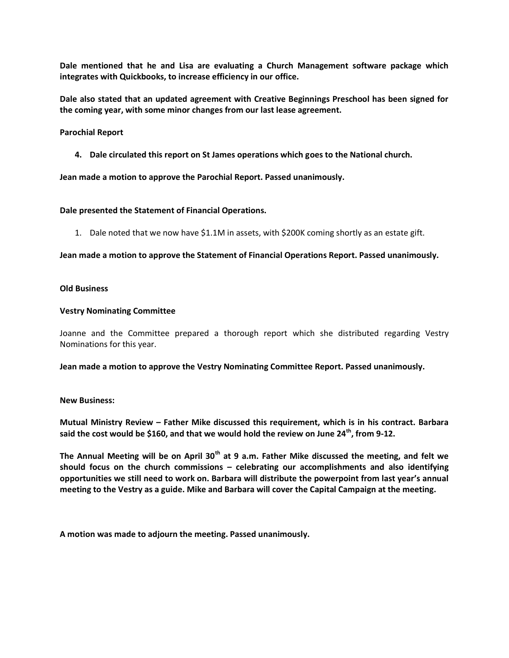**Dale mentioned that he and Lisa are evaluating a Church Management software package which integrates with Quickbooks, to increase efficiency in our office.**

**Dale also stated that an updated agreement with Creative Beginnings Preschool has been signed for the coming year, with some minor changes from our last lease agreement.**

### **Parochial Report**

**4. Dale circulated this report on St James operations which goes to the National church.** 

**Jean made a motion to approve the Parochial Report. Passed unanimously.**

### **Dale presented the Statement of Financial Operations.**

1. Dale noted that we now have \$1.1M in assets, with \$200K coming shortly as an estate gift.

**Jean made a motion to approve the Statement of Financial Operations Report. Passed unanimously.**

### **Old Business**

#### **Vestry Nominating Committee**

Joanne and the Committee prepared a thorough report which she distributed regarding Vestry Nominations for this year.

**Jean made a motion to approve the Vestry Nominating Committee Report. Passed unanimously.**

#### **New Business:**

**Mutual Ministry Review – Father Mike discussed this requirement, which is in his contract. Barbara said the cost would be \$160, and that we would hold the review on June 24th, from 9-12.**

**The Annual Meeting will be on April 30th at 9 a.m. Father Mike discussed the meeting, and felt we should focus on the church commissions – celebrating our accomplishments and also identifying opportunities we still need to work on. Barbara will distribute the powerpoint from last year's annual meeting to the Vestry as a guide. Mike and Barbara will cover the Capital Campaign at the meeting.**

**A motion was made to adjourn the meeting. Passed unanimously.**